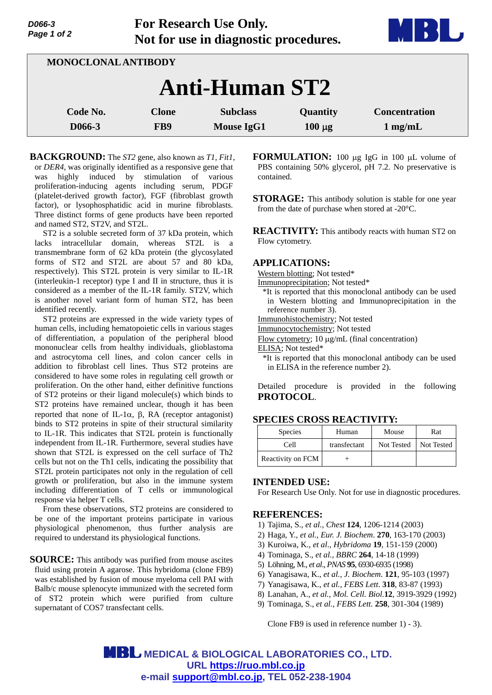| D066-3      |  |  |
|-------------|--|--|
| Page 1 of 2 |  |  |

**For Research Use Only. Not for use in diagnostic procedures.**



| <b>MONOCLONAL ANTIBODY</b> |                     |                                      |                                |                                           |  |  |
|----------------------------|---------------------|--------------------------------------|--------------------------------|-------------------------------------------|--|--|
| <b>Anti-Human ST2</b>      |                     |                                      |                                |                                           |  |  |
| Code No.<br>D066-3         | <b>Clone</b><br>FB9 | <b>Subclass</b><br><b>Mouse IgG1</b> | <b>Quantity</b><br>$100 \mu g$ | <b>Concentration</b><br>$1 \text{ mg/mL}$ |  |  |

**BACKGROUND:** The *ST2* gene, also known as *T1*, *Fit1*, or *DER4*, was originally identified as a responsive gene that was highly induced by stimulation of various proliferation-inducing agents including serum, PDGF (platelet-derived growth factor), FGF (fibroblast growth factor), or lysophosphatidic acid in murine fibroblasts. Three distinct forms of gene products have been reported and named ST2, ST2V, and ST2L.

ST2 is a soluble secreted form of 37 kDa protein, which lacks intracellular domain, whereas ST2L is a transmembrane form of 62 kDa protein (the glycosylated forms of ST2 and ST2L are about 57 and 80 kDa, respectively). This ST2L protein is very similar to IL-1R (interleukin-1 receptor) type I and II in structure, thus it is considered as a member of the IL-1R family. ST2V, which is another novel variant form of human ST2, has been identified recently.

ST2 proteins are expressed in the wide variety types of human cells, including hematopoietic cells in various stages of differentiation, a population of the peripheral blood mononuclear cells from healthy individuals, glioblastoma and astrocytoma cell lines, and colon cancer cells in addition to fibroblast cell lines. Thus ST2 proteins are considered to have some roles in regulating cell growth or proliferation. On the other hand, either definitive functions of ST2 proteins or their ligand molecule(s) which binds to ST2 proteins have remained unclear, though it has been reported that none of IL-1 $\alpha$ ,  $\beta$ , RA (receptor antagonist) binds to ST2 proteins in spite of their structural similarity to IL-1R. This indicates that ST2L protein is functionally independent from IL-1R. Furthermore, several studies have shown that ST2L is expressed on the cell surface of Th2 cells but not on the Th1 cells, indicating the possibility that ST2L protein participates not only in the regulation of cell growth or proliferation, but also in the immune system including differentiation of T cells or immunological response via helper T cells.

From these observations, ST2 proteins are considered to be one of the important proteins participate in various physiological phenomenon, thus further analysis are required to understand its physiological functions.

**SOURCE:** This antibody was purified from mouse ascites fluid using protein A agarose. This hybridoma (clone FB9) was established by fusion of mouse myeloma cell PAI with Balb/c mouse splenocyte immunized with the secreted form of ST2 protein which were purified from culture supernatant of COS7 transfectant cells.

**FORMULATION:** 100 µg IgG in 100 µL volume of PBS containing 50% glycerol, pH 7.2. No preservative is contained.

**STORAGE:** This antibody solution is stable for one year from the date of purchase when stored at -20°C.

**REACTIVITY:** This antibody reacts with human ST2 on Flow cytometry.

## **APPLICATIONS:**

Western blotting; Not tested\*

Immunoprecipitation; Not tested\*

- \*It is reported that this monoclonal antibody can be used in Western blotting and Immunoprecipitation in the reference number 3).
- Immunohistochemistry; Not tested
- Immunocytochemistry; Not tested
- Flow cytometry;  $10 \mu g/mL$  (final concentration)

ELISA; Not tested\*

\*It is reported that this monoclonal antibody can be used in ELISA in the reference number 2).

Detailed procedure is provided in the following **PROTOCOL**.

#### **SPECIES CROSS REACTIVITY:**

| <b>Species</b>    | Human        | Mouse      | Rat        |
|-------------------|--------------|------------|------------|
| Cell              | transfectant | Not Tested | Not Tested |
| Reactivity on FCM |              |            |            |

## **INTENDED USE:**

For Research Use Only. Not for use in diagnostic procedures.

# **REFERENCES:**

- 1) Tajima, S., *et al., Chest* **124**, 1206-1214 (2003)
- 2) Haga, Y., *et al., Eur. J. Biochem*. **270**, 163-170 (2003)
- 3) Kuroiwa, K., *et al*., *Hybridoma* **19**, 151-159 (2000)
- 4) Tominaga, S., *et al., BBRC* **264**, 14-18 (1999)
- 5) Löhning, M., *et al*., *PNAS* **95**, 6930-6935 (1998)
- 6) Yanagisawa, K., *et al., J. Biochem*. **121**, 95-103 (1997)
- 7) Yanagisawa, K., *et al., FEBS Lett*. **318**, 83-87 (1993)
- 8) Lanahan, A., *et al., Mol. Cell. Biol.***12**, 3919-3929 (1992)
- 9) Tominaga, S., *et al., FEBS Lett.* **258**, 301-304 (1989)

Clone FB9 is used in reference number 1) - 3).

**MBL** MEDICAL & BIOLOGICAL LABORATORIES CO., LTD. **URL https://ruo.mbl.co.jp e-mail support@mbl.co.jp, TEL 052-238-1904**